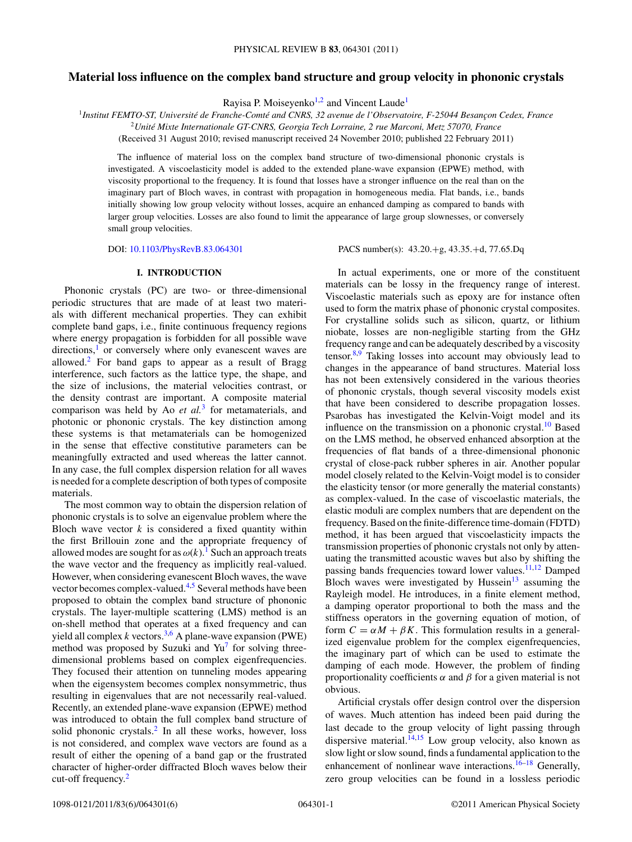# **Material loss influence on the complex band structure and group velocity in phononic crystals**

Rayisa P. Moiseyenko<sup>1,2</sup> and Vincent Laude<sup>1</sup>

<sup>1</sup>Institut FEMTO-ST, Université de Franche-Comté and CNRS, 32 avenue de l'Observatoire, F-25044 Besançon Cedex, France

<sup>2</sup>*Unite Mixte Internationale GT-CNRS, Georgia Tech Lorraine, 2 rue Marconi, Metz 57070, France ´*

(Received 31 August 2010; revised manuscript received 24 November 2010; published 22 February 2011)

The influence of material loss on the complex band structure of two-dimensional phononic crystals is investigated. A viscoelasticity model is added to the extended plane-wave expansion (EPWE) method, with viscosity proportional to the frequency. It is found that losses have a stronger influence on the real than on the imaginary part of Bloch waves, in contrast with propagation in homogeneous media. Flat bands, i.e., bands initially showing low group velocity without losses, acquire an enhanced damping as compared to bands with larger group velocities. Losses are also found to limit the appearance of large group slownesses, or conversely small group velocities.

DOI: [10.1103/PhysRevB.83.064301](http://dx.doi.org/10.1103/PhysRevB.83.064301) PACS number(s): 43*.*20*.*+g, 43*.*35*.*+d, 77*.*65*.*Dq

### **I. INTRODUCTION**

Phononic crystals (PC) are two- or three-dimensional periodic structures that are made of at least two materials with different mechanical properties. They can exhibit complete band gaps, i.e., finite continuous frequency regions where energy propagation is forbidden for all possible wave directions, $\frac{1}{1}$  $\frac{1}{1}$  $\frac{1}{1}$  or conversely where only evanescent waves are allowed.<sup>[2](#page-5-0)</sup> For band gaps to appear as a result of Bragg interference, such factors as the lattice type, the shape, and the size of inclusions, the material velocities contrast, or the density contrast are important. A composite material comparison was held by Ao *et al.*[3](#page-5-0) for metamaterials, and photonic or phononic crystals. The key distinction among these systems is that metamaterials can be homogenized in the sense that effective constitutive parameters can be meaningfully extracted and used whereas the latter cannot. In any case, the full complex dispersion relation for all waves is needed for a complete description of both types of composite materials.

The most common way to obtain the dispersion relation of phononic crystals is to solve an eigenvalue problem where the Bloch wave vector *k* is considered a fixed quantity within the first Brillouin zone and the appropriate frequency of allowed modes are sought for as  $\omega(k)$ <sup>[1](#page-5-0)</sup>. Such an approach treats the wave vector and the frequency as implicitly real-valued. However, when considering evanescent Bloch waves, the wave vector becomes complex-valued.[4,5](#page-5-0) Several methods have been proposed to obtain the complex band structure of phononic crystals. The layer-multiple scattering (LMS) method is an on-shell method that operates at a fixed frequency and can yield all complex  $k$  vectors.<sup>3,6</sup> A plane-wave expansion (PWE) method was proposed by Suzuki and  $Yu^7$  for solving threedimensional problems based on complex eigenfrequencies. They focused their attention on tunneling modes appearing when the eigensystem becomes complex nonsymmetric, thus resulting in eigenvalues that are not necessarily real-valued. Recently, an extended plane-wave expansion (EPWE) method was introduced to obtain the full complex band structure of solid phononic crystals.<sup>2</sup> In all these works, however, loss is not considered, and complex wave vectors are found as a result of either the opening of a band gap or the frustrated character of higher-order diffracted Bloch waves below their cut-off frequency.[2](#page-5-0)

In actual experiments, one or more of the constituent materials can be lossy in the frequency range of interest. Viscoelastic materials such as epoxy are for instance often used to form the matrix phase of phononic crystal composites. For crystalline solids such as silicon, quartz, or lithium niobate, losses are non-negligible starting from the GHz frequency range and can be adequately described by a viscosity tensor. $8.9$  Taking losses into account may obviously lead to changes in the appearance of band structures. Material loss has not been extensively considered in the various theories of phononic crystals, though several viscosity models exist that have been considered to describe propagation losses. Psarobas has investigated the Kelvin-Voigt model and its influence on the transmission on a phononic crystal.<sup>[10](#page-5-0)</sup> Based on the LMS method, he observed enhanced absorption at the frequencies of flat bands of a three-dimensional phononic crystal of close-pack rubber spheres in air. Another popular model closely related to the Kelvin-Voigt model is to consider the elasticity tensor (or more generally the material constants) as complex-valued. In the case of viscoelastic materials, the elastic moduli are complex numbers that are dependent on the frequency. Based on the finite-difference time-domain (FDTD) method, it has been argued that viscoelasticity impacts the transmission properties of phononic crystals not only by attenuating the transmitted acoustic waves but also by shifting the passing bands frequencies toward lower values.<sup>11,12</sup> Damped Bloch waves were investigated by Hussein $13$  assuming the Rayleigh model. He introduces, in a finite element method, a damping operator proportional to both the mass and the stiffness operators in the governing equation of motion, of form  $C = \alpha M + \beta K$ . This formulation results in a generalized eigenvalue problem for the complex eigenfrequencies, the imaginary part of which can be used to estimate the damping of each mode. However, the problem of finding proportionality coefficients  $\alpha$  and  $\beta$  for a given material is not obvious.

Artificial crystals offer design control over the dispersion of waves. Much attention has indeed been paid during the last decade to the group velocity of light passing through dispersive material.<sup>14,15</sup> Low group velocity, also known as slow light or slow sound, finds a fundamental application to the enhancement of nonlinear wave interactions. $16-18$  Generally, zero group velocities can be found in a lossless periodic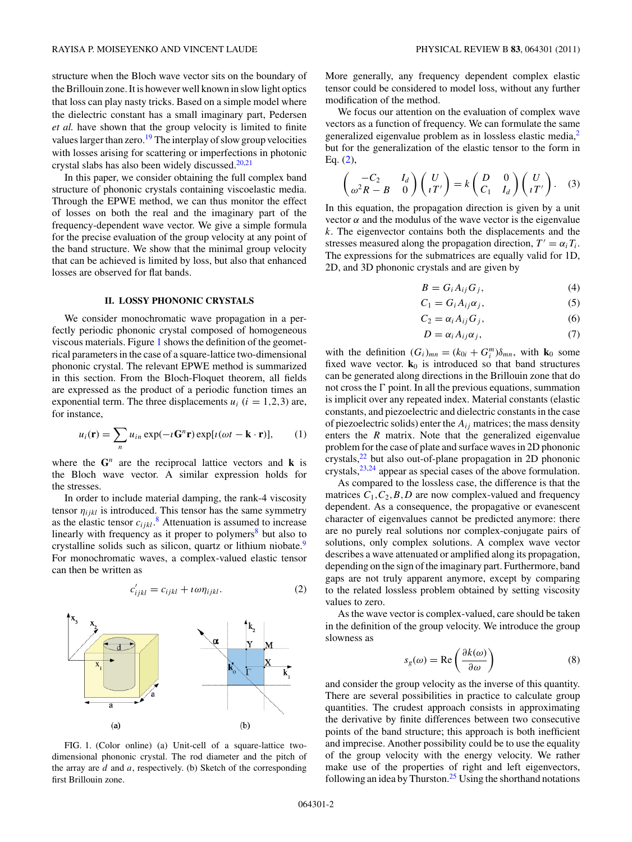<span id="page-1-0"></span>structure when the Bloch wave vector sits on the boundary of the Brillouin zone. It is however well known in slow light optics that loss can play nasty tricks. Based on a simple model where the dielectric constant has a small imaginary part, Pedersen *et al.* have shown that the group velocity is limited to finite values larger than zero.<sup>[19](#page-5-0)</sup> The interplay of slow group velocities with losses arising for scattering or imperfections in photonic crystal slabs has also been widely discussed. $20,21$ 

In this paper, we consider obtaining the full complex band structure of phononic crystals containing viscoelastic media. Through the EPWE method, we can thus monitor the effect of losses on both the real and the imaginary part of the frequency-dependent wave vector. We give a simple formula for the precise evaluation of the group velocity at any point of the band structure. We show that the minimal group velocity that can be achieved is limited by loss, but also that enhanced losses are observed for flat bands.

## **II. LOSSY PHONONIC CRYSTALS**

We consider monochromatic wave propagation in a perfectly periodic phononic crystal composed of homogeneous viscous materials. Figure 1 shows the definition of the geometrical parameters in the case of a square-lattice two-dimensional phononic crystal. The relevant EPWE method is summarized in this section. From the Bloch-Floquet theorem, all fields are expressed as the product of a periodic function times an exponential term. The three displacements  $u_i$  ( $i = 1,2,3$ ) are, for instance,

$$
u_i(\mathbf{r}) = \sum_n u_{in} \exp(-i\mathbf{G}^n \mathbf{r}) \exp[i(\omega t - \mathbf{k} \cdot \mathbf{r})], \qquad (1)
$$

where the  $G<sup>n</sup>$  are the reciprocal lattice vectors and **k** is the Bloch wave vector. A similar expression holds for the stresses.

In order to include material damping, the rank-4 viscosity tensor  $\eta_{ijkl}$  is introduced. This tensor has the same symmetry as the elastic tensor  $c_{ijkl}$ <sup>[8](#page-5-0)</sup> Attenuation is assumed to increase linearly with frequency as it proper to polymers $8$  but also to crystalline solids such as silicon, quartz or lithium niobate.<sup>[9](#page-5-0)</sup> For monochromatic waves, a complex-valued elastic tensor can then be written as

$$
c'_{ijkl} = c_{ijkl} + \iota \omega \eta_{ijkl}.
$$
 (2)



FIG. 1. (Color online) (a) Unit-cell of a square-lattice twodimensional phononic crystal. The rod diameter and the pitch of the array are *d* and *a*, respectively. (b) Sketch of the corresponding first Brillouin zone.

More generally, any frequency dependent complex elastic tensor could be considered to model loss, without any further modification of the method.

We focus our attention on the evaluation of complex wave vectors as a function of frequency. We can formulate the same generalized eigenvalue problem as in lossless elastic media,<sup>2</sup> but for the generalization of the elastic tensor to the form in Eq. (2),

$$
\begin{pmatrix} -C_2 & I_d \\ \omega^2 R - B & 0 \end{pmatrix} \begin{pmatrix} U \\ iT' \end{pmatrix} = k \begin{pmatrix} D & 0 \\ C_1 & I_d \end{pmatrix} \begin{pmatrix} U \\ iT' \end{pmatrix}.
$$
 (3)

In this equation, the propagation direction is given by a unit vector *α* and the modulus of the wave vector is the eigenvalue *k*. The eigenvector contains both the displacements and the stresses measured along the propagation direction,  $T' = \alpha_i T_i$ . The expressions for the submatrices are equally valid for 1D, 2D, and 3D phononic crystals and are given by

$$
B = G_i A_{ij} G_j,\tag{4}
$$

$$
C_1 = G_i A_{ij} \alpha_j, \tag{5}
$$

$$
C_2 = \alpha_i A_{ij} G_j, \tag{6}
$$

$$
D = \alpha_i A_{ij} \alpha_j, \tag{7}
$$

with the definition  $(G_i)_{mn} = (k_{0i} + G_i^m) \delta_{mn}$ , with  $\mathbf{k}_0$  some fixed wave vector.  $\mathbf{k}_0$  is introduced so that band structures can be generated along directions in the Brillouin zone that do not cross the  $\Gamma$  point. In all the previous equations, summation is implicit over any repeated index. Material constants (elastic constants, and piezoelectric and dielectric constants in the case of piezoelectric solids) enter the *Aij* matrices; the mass density enters the *R* matrix. Note that the generalized eigenvalue problem for the case of plate and surface waves in 2D phononic crystals, $^{22}$  but also out-of-plane propagation in 2D phononic crystals[,23,24](#page-5-0) appear as special cases of the above formulation.

As compared to the lossless case, the difference is that the matrices  $C_1, C_2, B, D$  are now complex-valued and frequency dependent. As a consequence, the propagative or evanescent character of eigenvalues cannot be predicted anymore: there are no purely real solutions nor complex-conjugate pairs of solutions, only complex solutions. A complex wave vector describes a wave attenuated or amplified along its propagation, depending on the sign of the imaginary part. Furthermore, band gaps are not truly apparent anymore, except by comparing to the related lossless problem obtained by setting viscosity values to zero.

As the wave vector is complex-valued, care should be taken in the definition of the group velocity. We introduce the group slowness as

$$
s_g(\omega) = \text{Re}\left(\frac{\partial k(\omega)}{\partial \omega}\right) \tag{8}
$$

and consider the group velocity as the inverse of this quantity. There are several possibilities in practice to calculate group quantities. The crudest approach consists in approximating the derivative by finite differences between two consecutive points of the band structure; this approach is both inefficient and imprecise. Another possibility could be to use the equality of the group velocity with the energy velocity. We rather make use of the properties of right and left eigenvectors, following an idea by Thurston. $25$  Using the shorthand notations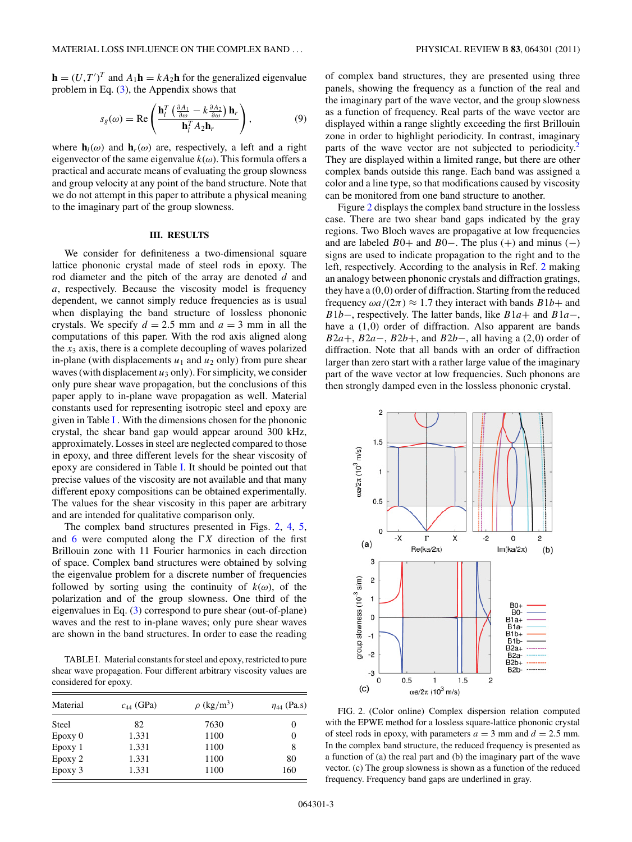<span id="page-2-0"></span> **and**  $A_1$ **<b>h** =  $kA_2$ **h** for the generalized eigenvalue problem in Eq. [\(3\)](#page-1-0), the Appendix shows that

$$
s_g(\omega) = \text{Re}\left(\frac{\mathbf{h}_l^T \left(\frac{\partial A_1}{\partial \omega} - k \frac{\partial A_2}{\partial \omega}\right) \mathbf{h}_r}{\mathbf{h}_l^T A_2 \mathbf{h}_r}\right),\tag{9}
$$

where  $h_l(\omega)$  and  $h_r(\omega)$  are, respectively, a left and a right eigenvector of the same eigenvalue  $k(\omega)$ . This formula offers a practical and accurate means of evaluating the group slowness and group velocity at any point of the band structure. Note that we do not attempt in this paper to attribute a physical meaning to the imaginary part of the group slowness.

# **III. RESULTS**

We consider for definiteness a two-dimensional square lattice phononic crystal made of steel rods in epoxy. The rod diameter and the pitch of the array are denoted *d* and *a*, respectively. Because the viscosity model is frequency dependent, we cannot simply reduce frequencies as is usual when displaying the band structure of lossless phononic crystals. We specify  $d = 2.5$  mm and  $a = 3$  mm in all the computations of this paper. With the rod axis aligned along the  $x_3$  axis, there is a complete decoupling of waves polarized in-plane (with displacements  $u_1$  and  $u_2$  only) from pure shear waves (with displacement  $u_3$  only). For simplicity, we consider only pure shear wave propagation, but the conclusions of this paper apply to in-plane wave propagation as well. Material constants used for representing isotropic steel and epoxy are given in Table I . With the dimensions chosen for the phononic crystal, the shear band gap would appear around 300 kHz, approximately. Losses in steel are neglected compared to those in epoxy, and three different levels for the shear viscosity of epoxy are considered in Table I. It should be pointed out that precise values of the viscosity are not available and that many different epoxy compositions can be obtained experimentally. The values for the shear viscosity in this paper are arbitrary and are intended for qualitative comparison only.

The complex band structures presented in Figs. 2, [4,](#page-3-0) [5,](#page-3-0) and  $6$  were computed along the  $\Gamma X$  direction of the first Brillouin zone with 11 Fourier harmonics in each direction of space. Complex band structures were obtained by solving the eigenvalue problem for a discrete number of frequencies followed by sorting using the continuity of  $k(\omega)$ , of the polarization and of the group slowness. One third of the eigenvalues in Eq. [\(3\)](#page-1-0) correspond to pure shear (out-of-plane) waves and the rest to in-plane waves; only pure shear waves are shown in the band structures. In order to ease the reading

TABLE I. Material constants for steel and epoxy, restricted to pure shear wave propagation. Four different arbitrary viscosity values are considered for epoxy.

| Material     | $c_{44}$ (GPa) | $\rho$ (kg/m <sup>3</sup> ) | $\eta_{44}$ (Pa.s) |
|--------------|----------------|-----------------------------|--------------------|
| <b>Steel</b> | 82             | 7630                        | $\theta$           |
| Epoxy 0      | 1.331          | 1100                        | $\theta$           |
| Epoxy 1      | 1.331          | 1100                        | 8                  |
| Epoxy 2      | 1.331          | 1100                        | 80                 |
| Epoxy 3      | 1.331          | 1100                        | 160                |

of complex band structures, they are presented using three panels, showing the frequency as a function of the real and the imaginary part of the wave vector, and the group slowness as a function of frequency. Real parts of the wave vector are displayed within a range slightly exceeding the first Brillouin zone in order to highlight periodicity. In contrast, imaginary parts of the wave vector are not subjected to periodicity.<sup>2</sup> They are displayed within a limited range, but there are other complex bands outside this range. Each band was assigned a color and a line type, so that modifications caused by viscosity can be monitored from one band structure to another.

Figure 2 displays the complex band structure in the lossless case. There are two shear band gaps indicated by the gray regions. Two Bloch waves are propagative at low frequencies and are labeled  $B0+$  and  $B0-$ . The plus (+) and minus (-) signs are used to indicate propagation to the right and to the left, respectively. According to the analysis in Ref. [2](#page-5-0) making an analogy between phononic crystals and diffraction gratings, they have a (0*,*0) order of diffraction. Starting from the reduced frequency  $\omega a/(2\pi) \approx 1.7$  they interact with bands  $B1b+$  and *B*1*b*−, respectively. The latter bands, like *B*1*a*+ and *B*1*a*−, have a (1*,*0) order of diffraction. Also apparent are bands *B*2*a*+, *B*2*a*−, *B*2*b*+, and *B*2*b*−, all having a (2,0) order of diffraction. Note that all bands with an order of diffraction larger than zero start with a rather large value of the imaginary part of the wave vector at low frequencies. Such phonons are then strongly damped even in the lossless phononic crystal.



FIG. 2. (Color online) Complex dispersion relation computed with the EPWE method for a lossless square-lattice phononic crystal of steel rods in epoxy, with parameters  $a = 3$  mm and  $d = 2.5$  mm. In the complex band structure, the reduced frequency is presented as a function of (a) the real part and (b) the imaginary part of the wave vector. (c) The group slowness is shown as a function of the reduced frequency. Frequency band gaps are underlined in gray.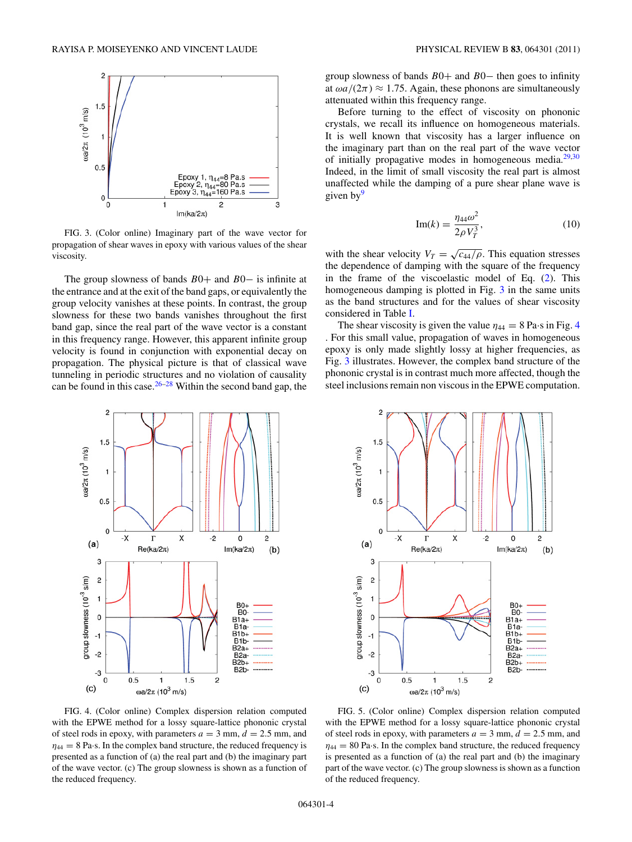<span id="page-3-0"></span>

FIG. 3. (Color online) Imaginary part of the wave vector for propagation of shear waves in epoxy with various values of the shear viscosity.

The group slowness of bands *B*0+ and *B*0− is infinite at the entrance and at the exit of the band gaps, or equivalently the group velocity vanishes at these points. In contrast, the group slowness for these two bands vanishes throughout the first band gap, since the real part of the wave vector is a constant in this frequency range. However, this apparent infinite group velocity is found in conjunction with exponential decay on propagation. The physical picture is that of classical wave tunneling in periodic structures and no violation of causality can be found in this case.  $26-28$  Within the second band gap, the group slowness of bands *B*0+ and *B*0− then goes to infinity at  $\omega a/(2\pi) \approx 1.75$ . Again, these phonons are simultaneously attenuated within this frequency range.

Before turning to the effect of viscosity on phononic crystals, we recall its influence on homogeneous materials. It is well known that viscosity has a larger influence on the imaginary part than on the real part of the wave vector of initially propagative modes in homogeneous media. $29,30$ Indeed, in the limit of small viscosity the real part is almost unaffected while the damping of a pure shear plane wave is given by $9$ 

$$
\operatorname{Im}(k) = \frac{\eta_{44}\omega^2}{2\rho V_T^3},\tag{10}
$$

with the shear velocity  $V_T = \sqrt{c_{44}/\rho}$ . This equation stresses the dependence of damping with the square of the frequency in the frame of the viscoelastic model of Eq. [\(2\)](#page-1-0). This homogeneous damping is plotted in Fig. 3 in the same units as the band structures and for the values of shear viscosity considered in Table [I.](#page-2-0)

The shear viscosity is given the value  $\eta_{44} = 8 \text{ Pa} \cdot \text{s}$  in Fig. 4 . For this small value, propagation of waves in homogeneous epoxy is only made slightly lossy at higher frequencies, as Fig. 3 illustrates. However, the complex band structure of the phononic crystal is in contrast much more affected, though the steel inclusions remain non viscous in the EPWE computation.



FIG. 4. (Color online) Complex dispersion relation computed with the EPWE method for a lossy square-lattice phononic crystal of steel rods in epoxy, with parameters  $a = 3$  mm,  $d = 2.5$  mm, and  $\eta_{44} = 8$  Pa·s. In the complex band structure, the reduced frequency is presented as a function of (a) the real part and (b) the imaginary part of the wave vector. (c) The group slowness is shown as a function of the reduced frequency.



FIG. 5. (Color online) Complex dispersion relation computed with the EPWE method for a lossy square-lattice phononic crystal of steel rods in epoxy, with parameters  $a = 3$  mm,  $d = 2.5$  mm, and  $\eta_{44} = 80$  Pa·s. In the complex band structure, the reduced frequency is presented as a function of (a) the real part and (b) the imaginary part of the wave vector. (c) The group slowness is shown as a function of the reduced frequency.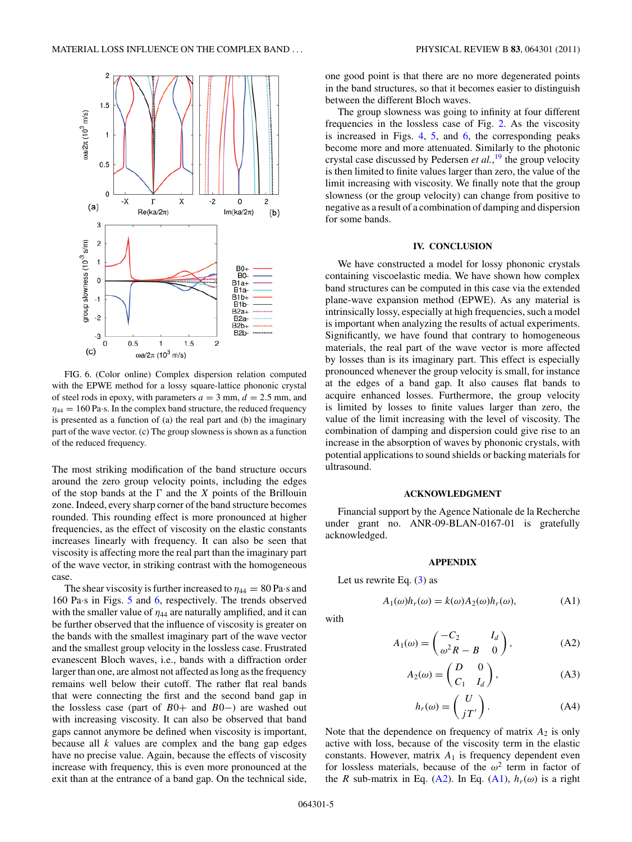<span id="page-4-0"></span>

FIG. 6. (Color online) Complex dispersion relation computed with the EPWE method for a lossy square-lattice phononic crystal of steel rods in epoxy, with parameters  $a = 3$  mm,  $d = 2.5$  mm, and  $\eta_{44} = 160 \text{ Pa} \cdot \text{s}$ . In the complex band structure, the reduced frequency is presented as a function of (a) the real part and (b) the imaginary part of the wave vector. (c) The group slowness is shown as a function of the reduced frequency.

The most striking modification of the band structure occurs around the zero group velocity points, including the edges of the stop bands at the  $\Gamma$  and the *X* points of the Brillouin zone. Indeed, every sharp corner of the band structure becomes rounded. This rounding effect is more pronounced at higher frequencies, as the effect of viscosity on the elastic constants increases linearly with frequency. It can also be seen that viscosity is affecting more the real part than the imaginary part of the wave vector, in striking contrast with the homogeneous case.

The shear viscosity is further increased to  $\eta_{44} = 80 \text{ Pa} \cdot \text{s}$  and 160 Pa·s in Figs. [5](#page-3-0) and 6, respectively. The trends observed with the smaller value of  $\eta_{44}$  are naturally amplified, and it can be further observed that the influence of viscosity is greater on the bands with the smallest imaginary part of the wave vector and the smallest group velocity in the lossless case. Frustrated evanescent Bloch waves, i.e., bands with a diffraction order larger than one, are almost not affected as long as the frequency remains well below their cutoff. The rather flat real bands that were connecting the first and the second band gap in the lossless case (part of *B*0+ and *B*0−) are washed out with increasing viscosity. It can also be observed that band gaps cannot anymore be defined when viscosity is important, because all *k* values are complex and the bang gap edges have no precise value. Again, because the effects of viscosity increase with frequency, this is even more pronounced at the exit than at the entrance of a band gap. On the technical side,

one good point is that there are no more degenerated points in the band structures, so that it becomes easier to distinguish between the different Bloch waves.

The group slowness was going to infinity at four different frequencies in the lossless case of Fig. [2.](#page-2-0) As the viscosity is increased in Figs. [4,](#page-3-0) [5,](#page-3-0) and 6, the corresponding peaks become more and more attenuated. Similarly to the photonic crystal case discussed by Pedersen *et al.*, [19](#page-5-0) the group velocity is then limited to finite values larger than zero, the value of the limit increasing with viscosity. We finally note that the group slowness (or the group velocity) can change from positive to negative as a result of a combination of damping and dispersion for some bands.

# **IV. CONCLUSION**

We have constructed a model for lossy phononic crystals containing viscoelastic media. We have shown how complex band structures can be computed in this case via the extended plane-wave expansion method (EPWE). As any material is intrinsically lossy, especially at high frequencies, such a model is important when analyzing the results of actual experiments. Significantly, we have found that contrary to homogeneous materials, the real part of the wave vector is more affected by losses than is its imaginary part. This effect is especially pronounced whenever the group velocity is small, for instance at the edges of a band gap. It also causes flat bands to acquire enhanced losses. Furthermore, the group velocity is limited by losses to finite values larger than zero, the value of the limit increasing with the level of viscosity. The combination of damping and dispersion could give rise to an increase in the absorption of waves by phononic crystals, with potential applications to sound shields or backing materials for ultrasound.

#### **ACKNOWLEDGMENT**

Financial support by the Agence Nationale de la Recherche under grant no. ANR-09-BLAN-0167-01 is gratefully acknowledged.

## **APPENDIX**

Let us rewrite Eq.  $(3)$  as

$$
A_1(\omega)h_r(\omega) = k(\omega)A_2(\omega)h_r(\omega), \tag{A1}
$$

with

$$
A_1(\omega) = \begin{pmatrix} -C_2 & I_d \\ \omega^2 R - B & 0 \end{pmatrix}, \tag{A2}
$$

$$
A_2(\omega) = \begin{pmatrix} D & 0 \\ C_1 & I_d \end{pmatrix}, \tag{A3}
$$

$$
h_r(\omega) = \begin{pmatrix} U \\ jT' \end{pmatrix} .
$$
 (A4)

Note that the dependence on frequency of matrix  $A_2$  is only active with loss, because of the viscosity term in the elastic constants. However, matrix  $A_1$  is frequency dependent even for lossless materials, because of the  $\omega^2$  term in factor of the *R* sub-matrix in Eq. (A2). In Eq. (A1),  $h_r(\omega)$  is a right